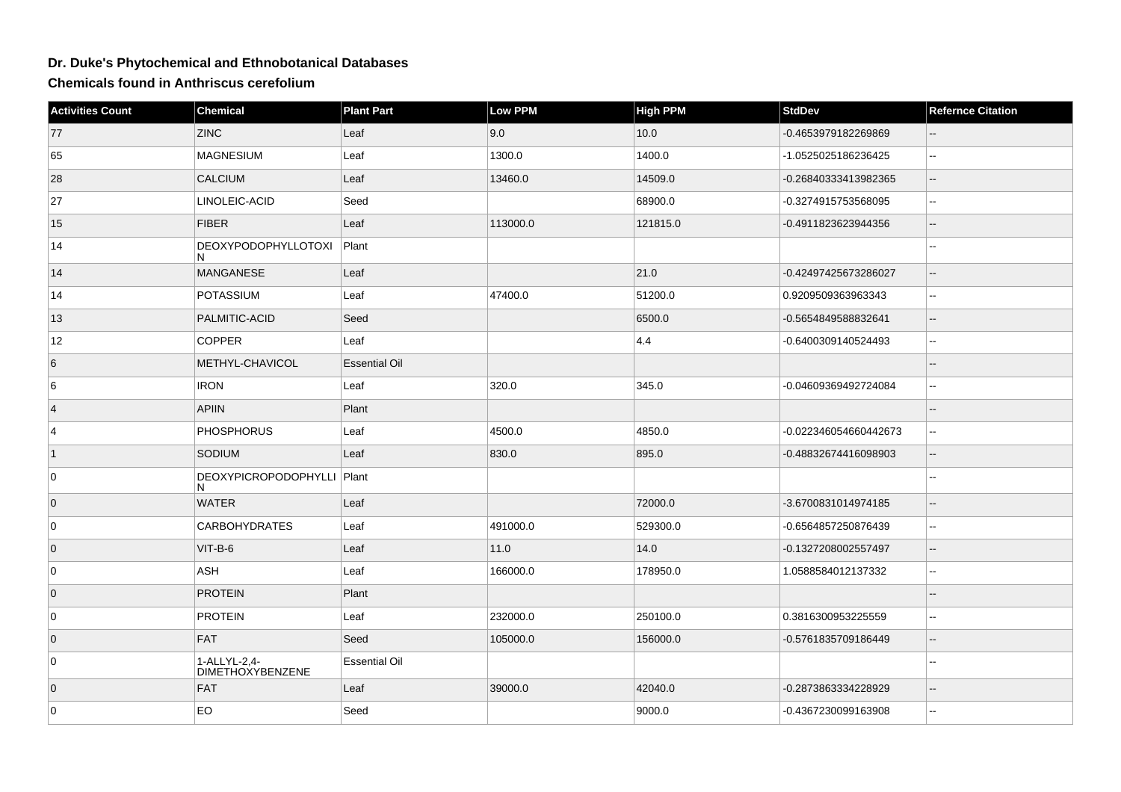## **Dr. Duke's Phytochemical and Ethnobotanical Databases**

**Chemicals found in Anthriscus cerefolium**

| <b>Activities Count</b> | <b>Chemical</b>                         | <b>Plant Part</b>    | Low PPM  | <b>High PPM</b> | <b>StdDev</b>         | <b>Refernce Citation</b>  |
|-------------------------|-----------------------------------------|----------------------|----------|-----------------|-----------------------|---------------------------|
| 77                      | <b>ZINC</b>                             | Leaf                 | 9.0      | 10.0            | -0.4653979182269869   | $\overline{\phantom{a}}$  |
| 65                      | <b>MAGNESIUM</b>                        | Leaf                 | 1300.0   | 1400.0          | -1.0525025186236425   | $\mathbb{Z}^{\mathbb{Z}}$ |
| 28                      | <b>CALCIUM</b>                          | Leaf                 | 13460.0  | 14509.0         | -0.26840333413982365  | $\overline{\phantom{a}}$  |
| 27                      | LINOLEIC-ACID                           | Seed                 |          | 68900.0         | -0.3274915753568095   | $\mathbf{u}$              |
| 15                      | <b>FIBER</b>                            | Leaf                 | 113000.0 | 121815.0        | -0.4911823623944356   | $\overline{a}$            |
| 14                      | DEOXYPODOPHYLLOTOXI<br>N                | Plant                |          |                 |                       | Щ,                        |
| 14                      | MANGANESE                               | Leaf                 |          | 21.0            | -0.42497425673286027  | $\overline{a}$            |
| 14                      | <b>POTASSIUM</b>                        | Leaf                 | 47400.0  | 51200.0         | 0.9209509363963343    | ц.                        |
| 13                      | PALMITIC-ACID                           | Seed                 |          | 6500.0          | -0.5654849588832641   | $\overline{a}$            |
| 12                      | <b>COPPER</b>                           | Leaf                 |          | 4.4             | -0.6400309140524493   | $\overline{\phantom{a}}$  |
| 6                       | METHYL-CHAVICOL                         | <b>Essential Oil</b> |          |                 |                       | $-$                       |
| 6                       | <b>IRON</b>                             | Leaf                 | 320.0    | 345.0           | -0.04609369492724084  | шш.                       |
| $\vert 4 \vert$         | <b>APIIN</b>                            | Plant                |          |                 |                       |                           |
| 4                       | PHOSPHORUS                              | Leaf                 | 4500.0   | 4850.0          | -0.022346054660442673 | Щ,                        |
| $\vert$ 1               | SODIUM                                  | Leaf                 | 830.0    | 895.0           | -0.48832674416098903  | $\overline{\phantom{a}}$  |
| 0                       | DEOXYPICROPODOPHYLLI Plant<br>N         |                      |          |                 |                       | --                        |
| $\overline{0}$          | <b>WATER</b>                            | Leaf                 |          | 72000.0         | -3.6700831014974185   | $\overline{a}$            |
| $\overline{0}$          | <b>CARBOHYDRATES</b>                    | Leaf                 | 491000.0 | 529300.0        | -0.6564857250876439   | $\overline{\phantom{a}}$  |
| $\overline{0}$          | VIT-B-6                                 | Leaf                 | 11.0     | 14.0            | -0.1327208002557497   | $\overline{\phantom{a}}$  |
| 0                       | ASH                                     | Leaf                 | 166000.0 | 178950.0        | 1.0588584012137332    | $\overline{\phantom{a}}$  |
| $\overline{0}$          | <b>PROTEIN</b>                          | Plant                |          |                 |                       |                           |
| 0                       | <b>PROTEIN</b>                          | Leaf                 | 232000.0 | 250100.0        | 0.3816300953225559    | $\overline{\phantom{a}}$  |
| $\overline{0}$          | FAT                                     | Seed                 | 105000.0 | 156000.0        | -0.5761835709186449   | $\overline{\phantom{a}}$  |
| 0                       | 1-ALLYL-2,4-<br><b>DIMETHOXYBENZENE</b> | <b>Essential Oil</b> |          |                 |                       | $\overline{\phantom{a}}$  |
| $\overline{0}$          | FAT                                     | Leaf                 | 39000.0  | 42040.0         | -0.2873863334228929   | $\overline{\phantom{a}}$  |
| 0                       | EO                                      | Seed                 |          | 9000.0          | -0.4367230099163908   | 44                        |